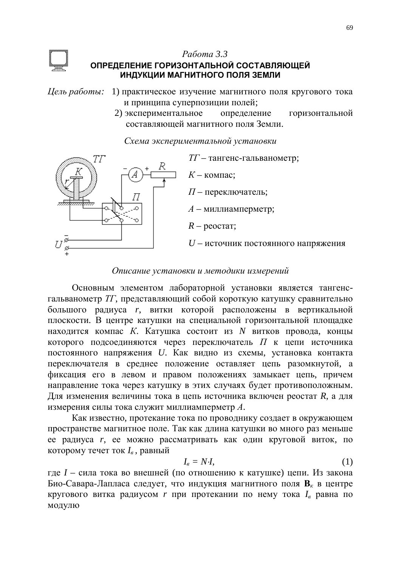# **Работа** 3.3



## **ОПРЕДЕЛЕНИЕ ГОРИЗОНТАЛЬНОЙ СОСТАВЛЯЮЩЕЙ** ИНДУКЦИИ МАГНИТНОГО ПОЛЯ ЗЕМЛИ

- *Цель работы*: 1) практическое изучение магнитного поля кругового тока и принципа суперпозиции полей;
	- 2) экспериментальное определение горизонтальной составляющей магнитного поля Земли.

| Схема экспериментальной установки |  |
|-----------------------------------|--|
|                                   |  |

П

 $TT$  – тангенс-гальванометр:

 $K$  – компас:

 $\Pi$  – переключатель;

*A* – миллиамперметр;

 $R$  – peocrar;

*U* – источник постоянного напряжения

## *Ɉɩɢɫɚɧɢɟɭɫɬɚɧɨɜɤɢɢɦɟɬɨɞɢɤɢɢɡɦɟɪɟɧɢɣ*

Основным элементом лабораторной установки является тангенсгальванометр *TГ*, представляющий собой короткую катушку сравнительно большого радиуса *г*, витки которой расположены в вертикальной плоскости. В центре катушки на специальной горизонтальной площадке находится компас *К*. Катушка состоит из *N* витков провода, концы которого подсоединяются через переключатель  $\Pi$  к цепи источника постоянного напряжения *U*. Как видно из схемы, установка контакта переключателя в среднее положение оставляет цепь разомкнутой, а фиксация его в левом и правом положениях замыкает цепь, причем направление тока через катушку в этих случаях будет противоположным. Для изменения величины тока в цепь источника включен реостат  $R$ , а для измерения силы тока служит миллиамперметр А.

Как известно, протекание тока по проводнику создает в окружающем пространстве магнитное поле. Так как длина катушки во много раз меньше ее радиуса *r*, ее можно рассматривать как один круговой виток, по которому течет ток  $I_{\epsilon}$ , равный

$$
I_{\epsilon} = N \cdot I,\tag{1}
$$

где *I* – сила тока во внешней (по отношению к катушке) цепи. Из закона Био-Савара-Лапласа следует, что индукция магнитного поля **В**<sub>*к*</sub> в центре кругового витка радиусом *r* при протекании по нему тока  $I_{\epsilon}$  равна по модулю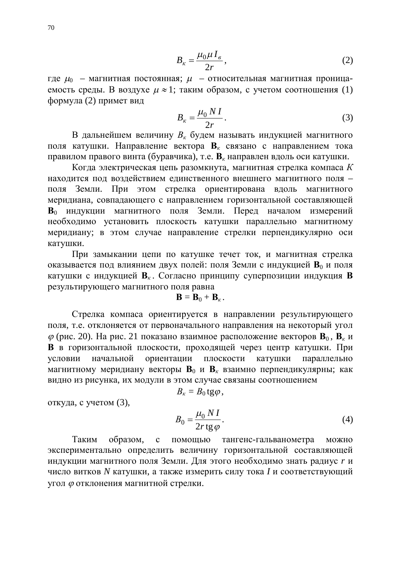$$
B_{\kappa} = \frac{\mu_0 \mu I_e}{2r},\tag{2}
$$

где  $\mu_0$  – магнитная постоянная;  $\mu$  – относительная магнитная проницаемость среды. В воздухе  $\mu \approx 1$ ; таким образом, с учетом соотношения (1) формула (2) примет вид

$$
B_{\kappa} = \frac{\mu_0 N I}{2r}.
$$
 (3)

В дальнейшем величину  $B_{\kappa}$  будем называть индукцией магнитного поля катушки. Направление вектора **B**<sub>*к*</sub> связано с направлением тока правилом правого винта (буравчика), т.е. **В**<sub>*к*</sub> направлен вдоль оси катушки.

Когда электрическая цепь разомкнута, магнитная стрелка компаса К находится под воздействием единственного внешнего магнитного поля поля Земли. При этом стрелка ориентирована вдоль магнитного меридиана, совпадающего с направлением горизонтальной составляющей **В**<sup>0</sup> индукции магнитного поля Земли. Перед началом измерений необходимо установить плоскость катушки параллельно магнитному меридиану; в этом случае направление стрелки перпендикулярно оси катушки.

При замыкании цепи по катушке течет ток, и магнитная стрелка оказывается под влиянием двух полей: поля Земли с индукцией В<sub>0</sub> и поля катушки с индукцией  $B_{k}$ . Согласно принципу суперпозиции индукция **В** результирующего магнитного поля равна

$$
\mathbf{B}=\mathbf{B}_0+\mathbf{B}_{\kappa}.
$$

Стрелка компаса ориентируется в направлении результирующего поля, т.е. отклоняется от первоначального направления на некоторый угол  $\varphi$  (рис. 20). На рис. 21 показано взаимное расположение векторов  $\mathbf{B}_0$ ,  $\mathbf{B}_k$  и **В** в горизонтальной плоскости, проходящей через центр катушки. При үсловии начальной ориентации плоскости катушки параллельно магнитному меридиану векторы **B**<sub>0</sub> и **B**<sub>*к*</sub> взаимно перпендикулярны; как видно из рисунка, их модули в этом случае связаны соотношением

$$
B_{\kappa}=B_0\,\mathrm{tg}\,\rho\,,
$$

откуда, с учетом (3),

$$
B_0 = \frac{\mu_0 N I}{2r \text{tg } \varphi}.
$$
\n(4)

Таким образом, с помошью тангенс-гальванометра можно экспериментально определить величину горизонтальной составляющей индукции магнитного поля Земли. Для этого необходимо знать радиус *r* и число витков *N* катушки, а также измерить силу тока *I* и соответствующий VΓΟ Π Φ ΟΤΚ ΠΟΗ ΕΗ ΜΑΤΗ ΜΑΤΗ ΜΈΤΗ Ο ΜΕΤΟΥ ΑΙ ΕΥΘΕΡΙΚΉ.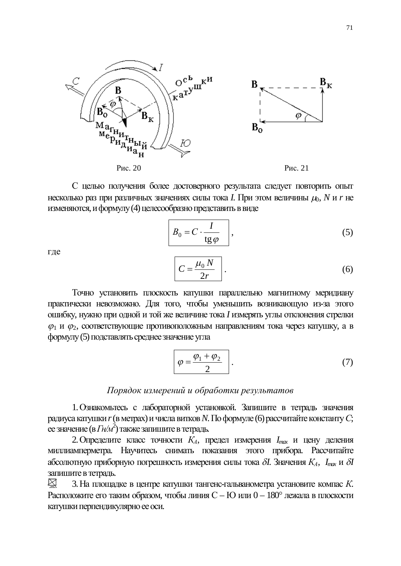

С целью получения более достоверного результата следует повторить опыт несколько раз при различных значениях силы тока *I*. При этом величины  $\mu_0$ , *N* и *r* не изменяются, и формулу (4) целесообразно представить в виде

$$
B_0 = C \cdot \frac{I}{\text{tg}\,\varphi} \tag{5}
$$

где

$$
C = \frac{\mu_0 N}{2r} \quad . \tag{6}
$$

Точно установить плоскость катушки параллельно магнитному меридиану практически невозможно. Для того, чтобы уменьшить возникающую из-за этого ошибку, нужно при одной и той же величине тока *I* измерять углы отклонения стрелки  $\varphi_1$  и  $\varphi_2$ , соответствующие противоположным направлениям тока через катушку, а в формулу (5) подставлять среднее значение угла

$$
\varphi = \frac{\varphi_1 + \varphi_2}{2} \qquad . \tag{7}
$$

#### $\Pi$ орядок измерений и обработки результатов

1. Ознакомьтесь с лабораторной установкой. Запишите в тетрадь значения радиуса катушки *r* (в метрах) и числа витков N. По формуле (6) рассчитайте константу C;  $\overline{\text{ee}}$ значение (в  $\overline{\text{FH/M}}^2$ ) также запишите в тетрадь.

2. Определите класс точности  $K_A$ , предел измерения  $I_{max}$  и цену деления миллиамперметра. Научитесь снимать показания этого прибора. Рассчитайте абсолютную приборную погрешность измерения силы тока  $\delta I$ . Значения  $K_A$ ,  $I_{mx}$  и  $\delta I$ запишите в тетрадь.

 $\boxtimes$ 3. На площадке в центре катушки тангенс-гальванометра установите компас К. Расположите его таким образом, чтобы линия С – Ю или  $0-180^\circ$  лежала в плоскости катушки перпендикулярно ее оси.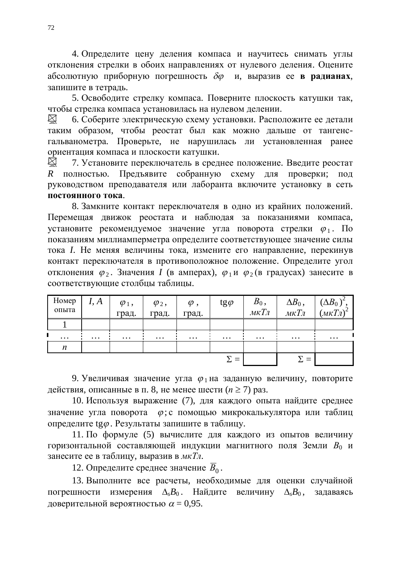4. Определите цену деления компаса и научитесь снимать углы отклонения стрелки в обоих направлениях от нулевого деления. Оцените абсолютную приборную погрешность  $\delta\varphi$  и, выразив ее в радианах, запишите в тетрадь.

5. Освободите стрелку компаса. Поверните плоскость катушки так, чтобы стрелка компаса установилась на нулевом делении.

6. Соберите электрическую схему установки. Расположите ее детали  $\boxtimes$ таким образом, чтобы реостат был как можно дальше от тангенсгальванометра. Проверьте, не нарушилась ли установленная ранее ориентация компаса и плоскости катушки.

 $\sum$ 7. Установите переключатель в среднее положение. Введите реостат R полностью. Предъявите собранную схему для проверки; под руководством преподавателя или лаборанта включите установку в сеть ПОСТОЯННОГО ТОК<sup>а</sup>.

8. Замкните контакт переключателя в одно из крайних положений. Перемещая движок реостата и наблюдая за показаниями компаса, установите рекомендуемое значение угла поворота стрелки  $\varphi_1$ . По показаниям миллиамперметра определите соответствующее значение силы тока *I*. Не меняя величины тока, измените его направление, перекинув контакт переключателя в противоположное положение. Определите угол отклонения  $\varphi_2$ . Значения *I* (в амперах),  $\varphi_1$ и  $\varphi_2$  (в градусах) занесите в соответствующие столбцы таблицы.

| Номер<br>опыта | I, A     | $\varphi_1$ ,<br>град. | $\varphi_2$ ,<br>град. | $\varphi$ ,<br>град. | $tg\varphi$ | $B_0$ ,<br>$MKT\pi$ | $\Delta B_0$ ,<br>$MKT\pi$ | $(\Delta B_0)^2$ ,<br>$(\mu \kappa T \pi)^2$ |
|----------------|----------|------------------------|------------------------|----------------------|-------------|---------------------|----------------------------|----------------------------------------------|
|                |          |                        |                        |                      |             |                     |                            |                                              |
| $\cdots$       | $\cdots$ | $\cdots$               | $\cdots$               | $\cdots$             | $\cdots$    | $\cdots$            | $\cdots$                   | $\cdots$                                     |
| n              |          |                        |                        |                      |             |                     |                            |                                              |
|                |          |                        |                        |                      | $\Sigma =$  |                     | $\equiv$                   |                                              |

9. Увеличивая значение угла  $\varphi_1$  на заданную величину, повторите действия, описанные в п. 8, не менее шести (*n* ≥ 7) раз.

10. Используя выражение (7), для каждого опыта найдите среднее значение угла поворота  $\varphi$ ; с помощью микрокалькулятора или таблиц определите tg $\varphi$ . Результаты запишите в таблицу.

11. По формуле (5) вычислите для каждого из опытов величину горизонтальной составляющей индукции магнитного поля Земли  $B_0$  и занесите ее в таблицу, выразив в *мкТл*.

12. Определите среднее значение  $\overline{B}_0$ .

13. Выполните все расчеты, необходимые для оценки случайной погрешности измерения  $\Delta_{\rm s}B_0$ . Найдите величину  $\Delta_{\rm s}B_0$ , задаваясь доверительной вероятностью  $\alpha = 0.95$ .